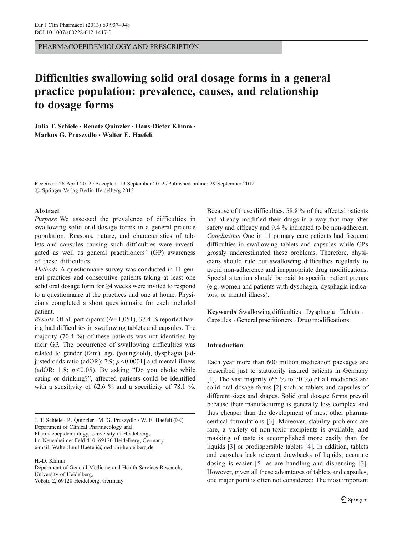PHARMACOEPIDEMIOLOGY AND PRESCRIPTION

# Difficulties swallowing solid oral dosage forms in a general practice population: prevalence, causes, and relationship to dosage forms

Julia T. Schiele · Renate Ouinzler · Hans-Dieter Klimm · Markus G. Pruszydlo · Walter E. Haefeli

Received: 26 April 2012 /Accepted: 19 September 2012 / Published online: 29 September 2012  $\oslash$  Springer-Verlag Berlin Heidelberg 2012

# Abstract

Purpose We assessed the prevalence of difficulties in swallowing solid oral dosage forms in a general practice population. Reasons, nature, and characteristics of tablets and capsules causing such difficulties were investigated as well as general practitioners' (GP) awareness of these difficulties.

Methods A questionnaire survey was conducted in 11 general practices and consecutive patients taking at least one solid oral dosage form for ≥4 weeks were invited to respond to a questionnaire at the practices and one at home. Physicians completed a short questionnaire for each included patient.

*Results* Of all participants ( $N=1,051$ ), 37.4 % reported having had difficulties in swallowing tablets and capsules. The majority (70.4 %) of these patients was not identified by their GP. The occurrence of swallowing difficulties was related to gender (f>m), age (young>old), dysphagia [adjusted odds ratio (adOR): 7.9;  $p < 0.0001$ ] and mental illness (adOR: 1.8;  $p<0.05$ ). By asking "Do you choke while eating or drinking?", affected patients could be identified with a sensitivity of  $62.6\%$  and a specificity of  $78.1\%$ .

J. T. Schiele · R. Quinzler · M. G. Pruszydlo · W. E. Haefeli (⊠) Department of Clinical Pharmacology and Pharmacoepidemiology, University of Heidelberg, Im Neuenheimer Feld 410, 69120 Heidelberg, Germany

e-mail: Walter.Emil.Haefeli@med.uni-heidelberg.de

H.-D. Klimm

Department of General Medicine and Health Services Research, University of Heidelberg, Voßstr. 2, 69120 Heidelberg, Germany

Because of these difficulties, 58.8 % of the affected patients had already modified their drugs in a way that may alter safety and efficacy and 9.4 % indicated to be non-adherent. Conclusions One in 11 primary care patients had frequent difficulties in swallowing tablets and capsules while GPs grossly underestimated these problems. Therefore, physicians should rule out swallowing difficulties regularly to avoid non-adherence and inappropriate drug modifications. Special attention should be paid to specific patient groups (e.g. women and patients with dysphagia, dysphagia indicators, or mental illness).

Keywords Swallowing difficulties . Dysphagia . Tablets . Capsules . General practitioners . Drug modifications

# Introduction

Each year more than 600 million medication packages are prescribed just to statutorily insured patients in Germany [\[1](#page-10-0)]. The vast majority (65 % to 70 %) of all medicines are solid oral dosage forms [[2\]](#page-10-0) such as tablets and capsules of different sizes and shapes. Solid oral dosage forms prevail because their manufacturing is generally less complex and thus cheaper than the development of most other pharmaceutical formulations [[3\]](#page-10-0). Moreover, stability problems are rare, a variety of non-toxic excipients is available, and masking of taste is accomplished more easily than for liquids [[3\]](#page-10-0) or orodispersible tablets [[4](#page-10-0)]. In addition, tablets and capsules lack relevant drawbacks of liquids; accurate dosing is easier [\[5](#page-10-0)] as are handling and dispensing [\[3](#page-10-0)]. However, given all these advantages of tablets and capsules, one major point is often not considered: The most important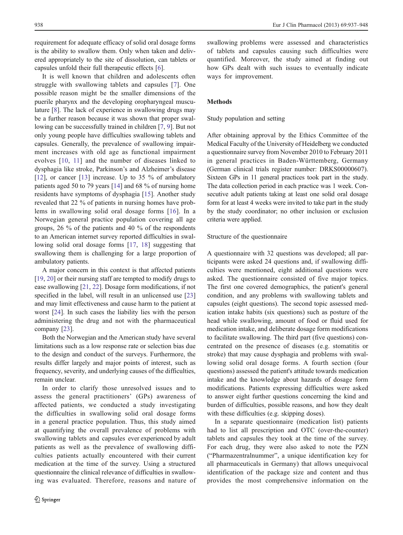requirement for adequate efficacy of solid oral dosage forms is the ability to swallow them. Only when taken and delivered appropriately to the site of dissolution, can tablets or capsules unfold their full therapeutic effects [[6\]](#page-10-0).

It is well known that children and adolescents often struggle with swallowing tablets and capsules [[7\]](#page-10-0). One possible reason might be the smaller dimensions of the puerile pharynx and the developing oropharyngeal musculature [[8\]](#page-10-0). The lack of experience in swallowing drugs may be a further reason because it was shown that proper swallowing can be successfully trained in children [[7,](#page-10-0) [9\]](#page-10-0). But not only young people have difficulties swallowing tablets and capsules. Generally, the prevalence of swallowing impairment increases with old age as functional impairment evolves [[10,](#page-10-0) [11](#page-10-0)] and the number of diseases linked to dysphagia like stroke, Parkinson's and Alzheimer's disease [\[12](#page-10-0)], or cancer [[13\]](#page-10-0) increase. Up to 35 % of ambulatory patients aged 50 to 79 years [[14\]](#page-10-0) and 68 % of nursing home residents have symptoms of dysphagia [\[15](#page-10-0)]. Another study revealed that 22 % of patients in nursing homes have problems in swallowing solid oral dosage forms [\[16\]](#page-10-0). In a Norwegian general practice population covering all age groups, 26 % of the patients and 40 % of the respondents to an American internet survey reported difficulties in swallowing solid oral dosage forms [\[17](#page-10-0), [18\]](#page-10-0) suggesting that swallowing them is challenging for a large proportion of ambulatory patients.

A major concern in this context is that affected patients [\[19](#page-10-0), [20](#page-10-0)] or their nursing staff are tempted to modify drugs to ease swallowing [[21,](#page-10-0) [22\]](#page-10-0). Dosage form modifications, if not specified in the label, will result in an unlicensed use [[23\]](#page-10-0) and may limit effectiveness and cause harm to the patient at worst [[24\]](#page-10-0). In such cases the liability lies with the person administering the drug and not with the pharmaceutical company [[23\]](#page-10-0).

Both the Norwegian and the American study have several limitations such as a low response rate or selection bias due to the design and conduct of the surveys. Furthermore, the results differ largely and major points of interest, such as frequency, severity, and underlying causes of the difficulties, remain unclear.

In order to clarify those unresolved issues and to assess the general practitioners' (GPs) awareness of affected patients, we conducted a study investigating the difficulties in swallowing solid oral dosage forms in a general practice population. Thus, this study aimed at quantifying the overall prevalence of problems with swallowing tablets and capsules ever experienced by adult patients as well as the prevalence of swallowing difficulties patients actually encountered with their current medication at the time of the survey. Using a structured questionnaire the clinical relevance of difficulties in swallowing was evaluated. Therefore, reasons and nature of swallowing problems were assessed and characteristics of tablets and capsules causing such difficulties were quantified. Moreover, the study aimed at finding out how GPs dealt with such issues to eventually indicate ways for improvement.

## Methods

#### Study population and setting

After obtaining approval by the Ethics Committee of the Medical Faculty of the University of Heidelberg we conducted a questionnaire survey from November 2010 to February 2011 in general practices in Baden-Württemberg, Germany (German clinical trials register number: DRKS00000607). Sixteen GPs in 11 general practices took part in the study. The data collection period in each practice was 1 week. Consecutive adult patients taking at least one solid oral dosage form for at least 4 weeks were invited to take part in the study by the study coordinator; no other inclusion or exclusion criteria were applied.

## Structure of the questionnaire

A questionnaire with 32 questions was developed; all participants were asked 24 questions and, if swallowing difficulties were mentioned, eight additional questions were asked. The questionnaire consisted of five major topics. The first one covered demographics, the patient's general condition, and any problems with swallowing tablets and capsules (eight questions). The second topic assessed medication intake habits (six questions) such as posture of the head while swallowing, amount of food or fluid used for medication intake, and deliberate dosage form modifications to facilitate swallowing. The third part (five questions) concentrated on the presence of diseases (e.g. stomatitis or stroke) that may cause dysphagia and problems with swallowing solid oral dosage forms. A fourth section (four questions) assessed the patient's attitude towards medication intake and the knowledge about hazards of dosage form modifications. Patients expressing difficulties were asked to answer eight further questions concerning the kind and burden of difficulties, possible reasons, and how they dealt with these difficulties (e.g. skipping doses).

In a separate questionnaire (medication list) patients had to list all prescription and OTC (over-the-counter) tablets and capsules they took at the time of the survey. For each drug, they were also asked to note the PZN ("Pharmazentralnummer", a unique identification key for all pharmaceuticals in Germany) that allows unequivocal identification of the package size and content and thus provides the most comprehensive information on the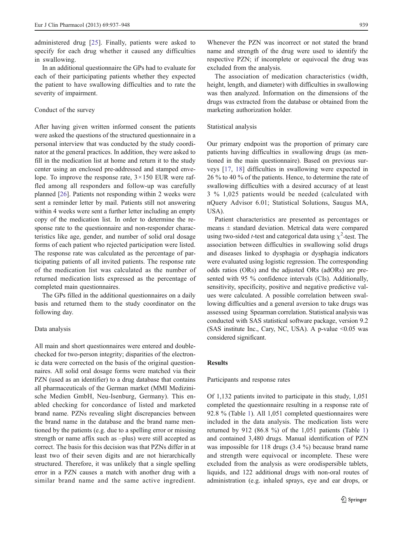administered drug [\[25](#page-10-0)]. Finally, patients were asked to specify for each drug whether it caused any difficulties in swallowing.

In an additional questionnaire the GPs had to evaluate for each of their participating patients whether they expected the patient to have swallowing difficulties and to rate the severity of impairment.

#### Conduct of the survey

After having given written informed consent the patients were asked the questions of the structured questionnaire in a personal interview that was conducted by the study coordinator at the general practices. In addition, they were asked to fill in the medication list at home and return it to the study center using an enclosed pre-addressed and stamped envelope. To improve the response rate,  $3 \times 150$  EUR were raffled among all responders and follow-up was carefully planned [[26\]](#page-11-0). Patients not responding within 2 weeks were sent a reminder letter by mail. Patients still not answering within 4 weeks were sent a further letter including an empty copy of the medication list. In order to determine the response rate to the questionnaire and non-responder characteristics like age, gender, and number of solid oral dosage forms of each patient who rejected participation were listed. The response rate was calculated as the percentage of participating patients of all invited patients. The response rate of the medication list was calculated as the number of returned medication lists expressed as the percentage of completed main questionnaires.

The GPs filled in the additional questionnaires on a daily basis and returned them to the study coordinator on the following day.

## Data analysis

All main and short questionnaires were entered and doublechecked for two-person integrity; disparities of the electronic data were corrected on the basis of the original questionnaires. All solid oral dosage forms were matched via their PZN (used as an identifier) to a drug database that contains all pharmaceuticals of the German market (MMI Medizinische Medien GmbH, Neu-Isenburg, Germany). This enabled checking for concordance of listed and marketed brand name. PZNs revealing slight discrepancies between the brand name in the database and the brand name mentioned by the patients (e.g. due to a spelling error or missing strength or name affix such as –plus) were still accepted as correct. The basis for this decision was that PZNs differ in at least two of their seven digits and are not hierarchically structured. Therefore, it was unlikely that a single spelling error in a PZN causes a match with another drug with a similar brand name and the same active ingredient.

Whenever the PZN was incorrect or not stated the brand name and strength of the drug were used to identify the respective PZN; if incomplete or equivocal the drug was excluded from the analysis.

The association of medication characteristics (width, height, length, and diameter) with difficulties in swallowing was then analyzed. Information on the dimensions of the drugs was extracted from the database or obtained from the marketing authorization holder.

## Statistical analysis

Our primary endpoint was the proportion of primary care patients having difficulties in swallowing drugs (as mentioned in the main questionnaire). Based on previous surveys [[17,](#page-10-0) [18](#page-10-0)] difficulties in swallowing were expected in 26 % to 40 % of the patients. Hence, to determine the rate of swallowing difficulties with a desired accuracy of at least 3 % 1,025 patients would be needed (calculated with nQuery Advisor 6.01; Statistical Solutions, Saugus MA, USA).

Patient characteristics are presented as percentages or means ± standard deviation. Metrical data were compared using two-sided *t*-test and categorical data using  $\chi^2$ -test. The association between difficulties in swallowing solid drugs and diseases linked to dysphagia or dysphagia indicators were evaluated using logistic regression. The corresponding odds ratios (ORs) and the adjusted ORs (adORs) are presented with 95 % confidence intervals (CIs). Additionally, sensitivity, specificity, positive and negative predictive values were calculated. A possible correlation between swallowing difficulties and a general aversion to take drugs was assessed using Spearman correlation. Statistical analysis was conducted with SAS statistical software package, version 9.2 (SAS institute Inc., Cary, NC, USA). A p-value  $\leq 0.05$  was considered significant.

## Results

## Participants and response rates

Of 1,132 patients invited to participate in this study, 1,051 completed the questionnaire resulting in a response rate of 92.8 % (Table [1\)](#page-3-0). All 1,051 completed questionnaires were included in the data analysis. The medication lists were returned by 9[1](#page-3-0)2 (86.8 %) of the  $1,051$  patients (Table 1) and contained 3,480 drugs. Manual identification of PZN was impossible for 118 drugs (3.4 %) because brand name and strength were equivocal or incomplete. These were excluded from the analysis as were orodispersible tablets, liquids, and 122 additional drugs with non-oral routes of administration (e.g. inhaled sprays, eye and ear drops, or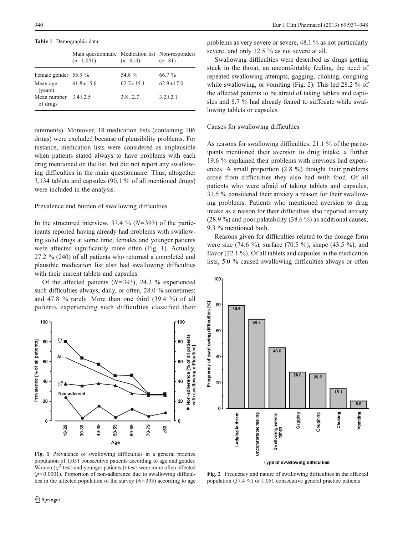<span id="page-3-0"></span>Table 1 Demographic data

|                                       | Main questionnaire Medication list Non-responders<br>$(n=1.051)$ | $(n=914)$       | $(n=81)$        |
|---------------------------------------|------------------------------------------------------------------|-----------------|-----------------|
| Female gender 55.9 %                  |                                                                  | 54.8 %          | $66.7 \%$       |
| Mean age<br>(years)                   | $61.8 \pm 15.6$                                                  | $62.7 \pm 15.1$ | $62.9 \pm 17.0$ |
| Mean number $3.4 \pm 2.5$<br>of drugs |                                                                  | $3.8 \pm 2.7$   | $3.2 \pm 2.1$   |

ointments). Moreover, 18 medication lists (containing 106 drugs) were excluded because of plausibility problems. For instance, medication lists were considered as implausible when patients stated always to have problems with each drug mentioned on the list, but did not report any swallowing difficulties in the main questionnaire. Thus, altogether 3,134 tablets and capsules (90.1 % of all mentioned drugs) were included in the analysis.

## Prevalence and burden of swallowing difficulties

In the structured interview, 37.4 %  $(N=393)$  of the participants reported having already had problems with swallowing solid drugs at some time; females and younger patients were affected significantly more often (Fig. 1). Actually, 27.2 % (240) of all patients who returned a completed and plausible medication list also had swallowing difficulties with their current tablets and capsules.

Of the affected patients  $(N=393)$ , 24.2 % experienced such difficulties always, daily, or often, 28.0 % sometimes; and 47.8 % rarely. More than one third (39.4 %) of all patients experiencing such difficulties classified their



Fig. 1 Prevalence of swallowing difficulties in a general practice population of 1,051 consecutive patients according to age and gender. Women ( $\chi^2$ -test) and younger patients (t-test) were more often affected  $(p<0.0001)$ . Proportion of non-adherence due to swallowing difficulties in the affected population of the survey  $(N=393)$  according to age

problems as very severe or severe, 48.1 % as not particularly severe, and only 12.5 % as not severe at all.

Swallowing difficulties were described as drugs getting stuck in the throat, an uncomfortable feeling, the need of repeated swallowing attempts, gagging, choking, coughing while swallowing, or vomiting (Fig. 2). This led 28.2 % of the affected patients to be afraid of taking tablets and capusles and 8.7 % had already feared to suffocate while swallowing tablets or capsules.

## Causes for swallowing difficulties

As reasons for swallowing difficulties, 21.1 % of the participants mentioned their aversion to drug intake, a further 19.6 % explained their problems with previous bad experiences. A small proportion (2.8 %) thought their problems arose from difficulties they also had with food. Of all patients who were afraid of taking tablets and capsules, 31.5 % considered their anxiety a reason for their swallowing problems. Patients who mentioned aversion to drug intake as a reason for their difficulties also reported anxiety (28.9 %) and poor palatability (38.6 %) as additional causes; 9.3 % mentioned both.

Reasons given for difficulties related to the dosage form were size (74.6 %), surface (70.5 %), shape (43.5 %), and flavor (22.1 %). Of all tablets and capsules in the medication lists, 5.0 % caused swallowing difficulties always or often



Fig. 2 Frequency and nature of swallowing difficulties in the affected population (37.4 %) of 1,051 consecutive general practice patients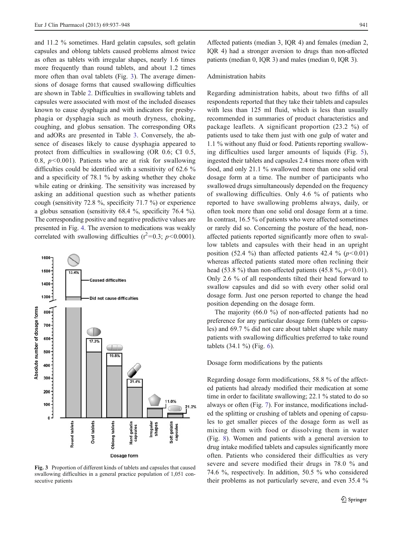and 11.2 % sometimes. Hard gelatin capsules, soft gelatin capsules and oblong tablets caused problems almost twice as often as tablets with irregular shapes, nearly 1.6 times more frequently than round tablets, and about 1.2 times more often than oval tablets (Fig. 3). The average dimensions of dosage forms that caused swallowing difficulties are shown in Table [2.](#page-5-0) Difficulties in swallowing tablets and capsules were associated with most of the included diseases known to cause dysphagia and with indicators for presbyphagia or dysphagia such as mouth dryness, choking, coughing, and globus sensation. The corresponding ORs and adORs are presented in Table [3](#page-6-0). Conversely, the absence of diseases likely to cause dysphagia appeared to protect from difficulties in swallowing (OR 0.6; CI 0.5, 0.8,  $p<0.001$ ). Patients who are at risk for swallowing difficulties could be identified with a sensitivity of 62.6 % and a specificity of 78.1 % by asking whether they choke while eating or drinking. The sensitivity was increased by asking an additional question such as whether patients cough (sensitivity 72.8 %, specificity 71.7 %) or experience a globus sensation (sensitivity 68.4 %, specificity 76.4 %). The corresponding positive and negative predictive values are presented in Fig. [4](#page-7-0). The aversion to medications was weakly correlated with swallowing difficulties ( $r^2$ =0.3; p<0.0001).



Fig. 3 Proportion of different kinds of tablets and capsules that caused swallowing difficulties in a general practice population of 1,051 consecutive patients

Affected patients (median 3, IQR 4) and females (median 2, IQR 4) had a stronger aversion to drugs than non-affected patients (median 0, IQR 3) and males (median 0, IQR 3).

# Administration habits

Regarding administration habits, about two fifths of all respondents reported that they take their tablets and capsules with less than 125 ml fluid, which is less than usually recommended in summaries of product characteristics and package leaflets. A significant proportion (23.2 %) of patients used to take them just with one gulp of water and 1.1 % without any fluid or food. Patients reporting swallowing difficulties used larger amounts of liquids (Fig. [5](#page-7-0)), ingested their tablets and capsules 2.4 times more often with food, and only 21.1 % swallowed more than one solid oral dosage form at a time. The number of participants who swallowed drugs simultaneously depended on the frequency of swallowing difficulties. Only 4.6 % of patients who reported to have swallowing problems always, daily, or often took more than one solid oral dosage form at a time. In contrast, 16.5 % of patients who were affected sometimes or rarely did so. Concerning the posture of the head, nonaffected patients reported significantly more often to swallow tablets and capsules with their head in an upright position (52.4 %) than affected patients 42.4 % ( $p$ <0.01) whereas affected patients stated more often reclining their head (53.8 %) than non-affected patients (45.8 %,  $p < 0.01$ ). Only 2.6 % of all respondents tilted their head forward to swallow capsules and did so with every other solid oral dosage form. Just one person reported to change the head position depending on the dosage form.

The majority (66.0 %) of non-affected patients had no preference for any particular dosage form (tablets or capsules) and 69.7 % did not care about tablet shape while many patients with swallowing difficulties preferred to take round tablets (34.1 %) (Fig. [6\)](#page-7-0).

### Dosage form modifications by the patients

Regarding dosage form modifications, 58.8 % of the affected patients had already modified their medication at some time in order to facilitate swallowing; 22.1 % stated to do so always or often (Fig. [7\)](#page-8-0). For instance, modifications included the splitting or crushing of tablets and opening of capsules to get smaller pieces of the dosage form as well as mixing them with food or dissolving them in water (Fig. [8\)](#page-8-0). Women and patients with a general aversion to drug intake modified tablets and capsules significantly more often. Patients who considered their difficulties as very severe and severe modified their drugs in 78.0 % and 74.6 %, respectively. In addition, 50.5 % who considered their problems as not particularly severe, and even 35.4 %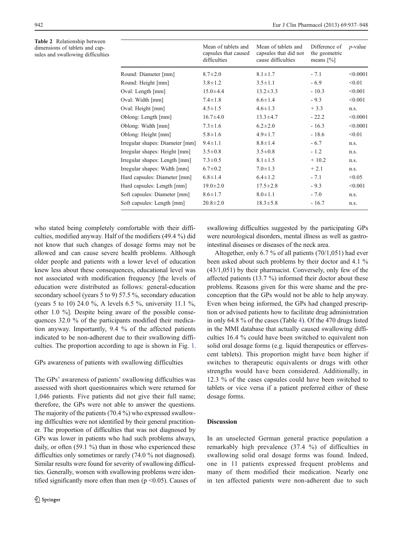<span id="page-5-0"></span>Table 2 Relationship between dimensions of tablets and capsules and swallowing difficulties

|                                 | Mean of tablets and<br>capsules that caused<br>difficulties | Mean of tablets and<br>capsules that did not<br>cause difficulties | Difference of<br>the geometric<br>means $[\%]$ | $p$ -value |
|---------------------------------|-------------------------------------------------------------|--------------------------------------------------------------------|------------------------------------------------|------------|
| Round: Diameter [mm]            | $8.7 \pm 2.0$                                               | $8.1 \pm 1.7$                                                      | $-7.1$                                         | < 0.0001   |
| Round: Height [mm]              | $3.8 \pm 1.2$                                               | $3.5 \pm 1.1$                                                      | $-6.9$                                         | < 0.01     |
| Oval: Length [mm]               | $15.0 \pm 4.4$                                              | $13.2 \pm 3.3$                                                     | $-10.3$                                        | < 0.001    |
| Oval: Width [mm]                | $7.4 \pm 1.8$                                               | $6.6 \pm 1.4$                                                      | $-9.3$                                         | < 0.001    |
| Oval: Height [mm]               | $4.5 \pm 1.5$                                               | $4.6 \pm 1.3$                                                      | $+3.3$                                         | n.s.       |
| Oblong: Length [mm]             | $16.7 \pm 4.0$                                              | $13.3 \pm 4.7$                                                     | $-22.2$                                        | < 0.0001   |
| Oblong: Width [mm]              | $7.3 \pm 1.6$                                               | $6.2 \pm 2.0$                                                      | $-16.3$                                        | < 0.0001   |
| Oblong: Height [mm]             | $5.8 \pm 1.6$                                               | $4.9 \pm 1.7$                                                      | $-18.6$                                        | < 0.01     |
| Irregular shapes: Diameter [mm] | $9.4 \pm 1.1$                                               | $8.8 \pm 1.4$                                                      | $-6.7$                                         | n.s.       |
| Irregular shapes: Height [mm]   | $3.5 \pm 0.8$                                               | $3.5 \pm 0.8$                                                      | $-1.2$                                         | n.s.       |
| Irregular shapes: Length [mm]   | $7.3 \pm 0.5$                                               | $8.1 \pm 1.5$                                                      | $+10.2$                                        | n.s.       |
| Irregular shapes: Width [mm]    | $6.7 \pm 0.2$                                               | $7.0 \pm 1.3$                                                      | $+2.1$                                         | n.s.       |
| Hard capsules: Diameter [mm]    | $6.8 \pm 1.4$                                               | $6.4 \pm 1.2$                                                      | $-7.1$                                         | < 0.05     |
| Hard capsules: Length [mm]      | $19.0 \pm 2.0$                                              | $17.5 \pm 2.8$                                                     | $-9.3$                                         | < 0.001    |
| Soft capsules: Diameter [mm]    | $8.6 \pm 1.7$                                               | $8.0 \pm 1.1$                                                      | $-7.0$                                         | n.s.       |
| Soft capsules: Length [mm]      | $20.8 \pm 2.0$                                              | $18.3 \pm 5.8$                                                     | $-16.7$                                        | n.s.       |

who stated being completely comfortable with their difficulties, modified anyway. Half of the modifiers (49.4 %) did not know that such changes of dosage forms may not be allowed and can cause severe health problems. Although older people and patients with a lower level of education knew less about these consequences, educational level was not associated with modification frequency [the levels of education were distributed as follows: general-education secondary school (years 5 to 9) 57.5 %, secondary education (years 5 to 10) 24.0 %, A levels 6.5 %, university 11.1 %, other 1.0 %]. Despite being aware of the possible consequences 32.0 % of the participants modified their medication anyway. Importantly, 9.4 % of the affected patients indicated to be non-adherent due to their swallowing difficulties. The proportion according to age is shown in Fig. [1.](#page-3-0)

GPs awareness of patients with swallowing difficulties

The GPs' awareness of patients' swallowing difficulties was assessed with short questionnaires which were returned for 1,046 patients. Five patients did not give their full name; therefore, the GPs were not able to answer the questions. The majority of the patients (70.4 %) who expressed swallowing difficulties were not identified by their general practitioner. The proportion of difficulties that was not diagnosed by GPs was lower in patients who had such problems always, daily, or often (59.1 %) than in those who experienced these difficulties only sometimes or rarely (74.0 % not diagnosed). Similar results were found for severity of swallowing difficulties. Generally, women with swallowing problems were identified significantly more often than men  $(p \le 0.05)$ . Causes of swallowing difficulties suggested by the participating GPs were neurological disorders, mental illness as well as gastrointestinal diseases or diseases of the neck area.

Altogether, only 6.7 % of all patients (70/1,051) had ever been asked about such problems by their doctor and 4.1 % (43/1,051) by their pharmacist. Conversely, only few of the affected patients (13.7 %) informed their doctor about these problems. Reasons given for this were shame and the preconception that the GPs would not be able to help anyway. Even when being informed, the GPs had changed prescription or advised patients how to facilitate drug administration in only 64.8 % of the cases (Table [4](#page-8-0)). Of the 470 drugs listed in the MMI database that actually caused swallowing difficulties 16.4 % could have been switched to equivalent non solid oral dosage forms (e.g. liquid therapeutics or effervescent tablets). This proportion might have been higher if switches to therapeutic equivalents or drugs with other strengths would have been considered. Additionally, in 12.3 % of the cases capsules could have been switched to tablets or vice versa if a patient preferred either of these dosage forms.

# Discussion

In an unselected German general practice population a remarkably high prevalence (37.4 %) of difficulties in swallowing solid oral dosage forms was found. Indeed, one in 11 patients expressed frequent problems and many of them modified their medication. Nearly one in ten affected patients were non-adherent due to such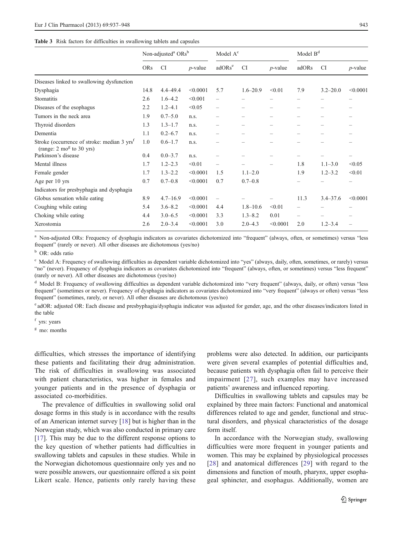<span id="page-6-0"></span>

|  |  |  |  |  |  | Table 3 Risk factors for difficulties in swallowing tablets and capsules |  |  |  |
|--|--|--|--|--|--|--------------------------------------------------------------------------|--|--|--|
|--|--|--|--|--|--|--------------------------------------------------------------------------|--|--|--|

|                                                                                                           | Non-adjusted <sup>a</sup> ORs <sup>b</sup> |              | Model A <sup>c</sup> |                    |              | Model B <sup>d</sup> |                          |              |            |
|-----------------------------------------------------------------------------------------------------------|--------------------------------------------|--------------|----------------------|--------------------|--------------|----------------------|--------------------------|--------------|------------|
|                                                                                                           | <b>ORs</b>                                 | <b>CI</b>    | $p$ -value           | adORs <sup>e</sup> | <b>CI</b>    | $p$ -value           | adORs                    | <b>CI</b>    | $p$ -value |
| Diseases linked to swallowing dysfunction                                                                 |                                            |              |                      |                    |              |                      |                          |              |            |
| Dysphagia                                                                                                 | 14.8                                       | $4.4 - 49.4$ | < 0.0001             | 5.7                | $1.6 - 20.9$ | < 0.01               | 7.9                      | $3.2 - 20.0$ | < 0.0001   |
| Stomatitis                                                                                                | 2.6                                        | $1.6 - 4.2$  | < 0.001              |                    |              |                      |                          |              |            |
| Diseases of the esophagus                                                                                 | 2.2                                        | $1.2 - 4.1$  | < 0.05               |                    |              |                      |                          |              |            |
| Tumors in the neck area                                                                                   | 1.9                                        | $0.7 - 5.0$  | n.s.                 |                    |              |                      |                          |              |            |
| Thyroid disorders                                                                                         | 1.3                                        | $1.3 - 1.7$  | n.s.                 |                    |              |                      |                          |              |            |
| Dementia                                                                                                  | 1.1                                        | $0.2 - 6.7$  | n.s.                 |                    |              |                      |                          |              |            |
| Stroke (occurrence of stroke: median 3 yrs <sup>f</sup><br>(range: $2 \text{ mo}^g$ to $30 \text{ yrs}$ ) | 1.0                                        | $0.6 - 1.7$  | n.s.                 |                    |              |                      |                          |              |            |
| Parkinson's disease                                                                                       | 0.4                                        | $0.0 - 3.7$  | n.s.                 |                    |              |                      |                          |              |            |
| Mental illness                                                                                            | 1.7                                        | $1.2 - 2.3$  | < 0.01               |                    |              |                      | 1.8                      | $1.1 - 3.0$  | < 0.05     |
| Female gender                                                                                             | 1.7                                        | $1.3 - 2.2$  | < 0.0001             | 1.5                | $1.1 - 2.0$  |                      | 1.9                      | $1.2 - 3.2$  | < 0.01     |
| Age per 10 yrs                                                                                            | 0.7                                        | $0.7 - 0.8$  | < 0.0001             | 0.7                | $0.7 - 0.8$  |                      |                          |              |            |
| Indicators for presbyphagia and dysphagia                                                                 |                                            |              |                      |                    |              |                      |                          |              |            |
| Globus sensation while eating                                                                             | 8.9                                        | $4.7 - 16.9$ | < 0.0001             |                    |              |                      | 11.3                     | $3.4 - 37.6$ | < 0.0001   |
| Coughing while eating                                                                                     | 5.4                                        | $3.6 - 8.2$  | < 0.0001             | 4.4                | $1.8 - 10.6$ | < 0.01               |                          |              |            |
| Choking while eating                                                                                      | 4.4                                        | $3.0 - 6.5$  | < 0.0001             | 3.3                | $1.3 - 8.2$  | 0.01                 | $\overline{\phantom{0}}$ |              |            |
| Xerostomia                                                                                                | 2.6                                        | $2.0 - 3.4$  | < 0.0001             | 3.0                | $2.0 - 4.3$  | < 0.0001             | 2.0                      | $1.2 - 3.4$  |            |

<sup>a</sup> Non-adjusted ORs: Frequency of dysphagia indicators as covariates dichotomized into "frequent" (always, often, or sometimes) versus "less frequent" (rarely or never). All other diseases are dichotomous (yes/no)

<sup>b</sup> OR: odds ratio

<sup>c</sup> Model A: Frequency of swallowing difficulties as dependent variable dichotomized into "yes" (always, daily, often, sometimes, or rarely) versus "no" (never). Frequency of dysphagia indicators as covariates dichotomized into "frequent" (always, often, or sometimes) versus "less frequent" (rarely or never). All other diseases are dichotomous (yes/no)

<sup>d</sup> Model B: Frequency of swallowing difficulties as dependent variable dichotomized into "very frequent" (always, daily, or often) versus "less frequent" (sometimes or never). Frequency of dysphagia indicators as covariates dichotomized into "very frequent" (always or often) versus "less frequent" (sometimes, rarely, or never). All other diseases are dichotomous (yes/no)

e adOR: adjusted OR: Each disease and presbyphagia/dysphagia indicator was adjusted for gender, age, and the other diseases/indicators listed in the table

<sup>f</sup> yrs: years

<sup>g</sup> mo: months

difficulties, which stresses the importance of identifying these patients and facilitating their drug administration. The risk of difficulties in swallowing was associated with patient characteristics, was higher in females and younger patients and in the presence of dysphagia or associated co-morbidities.

The prevalence of difficulties in swallowing solid oral dosage forms in this study is in accordance with the results of an American internet survey [[18\]](#page-10-0) but is higher than in the Norwegian study, which was also conducted in primary care [\[17](#page-10-0)]. This may be due to the different response options to the key question of whether patients had difficulties in swallowing tablets and capsules in these studies. While in the Norwegian dichotomous questionnaire only yes and no were possible answers, our questionnaire offered a six point Likert scale. Hence, patients only rarely having these problems were also detected. In addition, our participants were given several examples of potential difficulties and, because patients with dysphagia often fail to perceive their impairment [[27\]](#page-11-0), such examples may have increased patients' awareness and influenced reporting.

Difficulties in swallowing tablets and capsules may be explained by three main factors: Functional and anatomical differences related to age and gender, functional and structural disorders, and physical characteristics of the dosage form itself.

In accordance with the Norwegian study, swallowing difficulties were more frequent in younger patients and women. This may be explained by physiological processes [\[28\]](#page-11-0) and anatomical differences [\[29\]](#page-11-0) with regard to the dimensions and function of mouth, pharynx, upper esophageal sphincter, and esophagus. Additionally, women are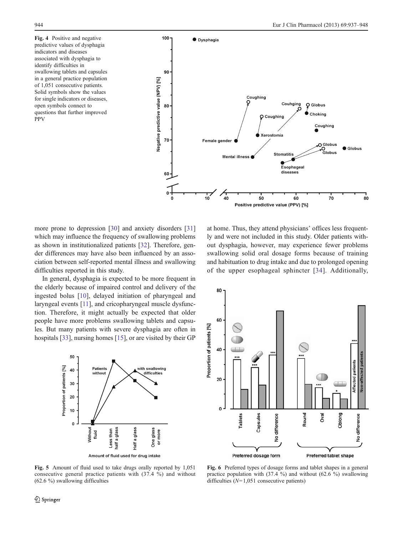<span id="page-7-0"></span>Fig. 4 Positive and negative predictive values of dysphagia indicators and diseases associated with dysphagia to identify difficulties in swallowing tablets and capsules in a general practice population of 1,051 consecutive patients. Solid symbols show the values for single indicators or diseases, open symbols connect to questions that further improved PPV



more prone to depression [[30](#page-11-0)] and anxiety disorders [[31\]](#page-11-0) which may influence the frequency of swallowing problems as shown in institutionalized patients [[32\]](#page-11-0). Therefore, gender differences may have also been influenced by an association between self-reported mental illness and swallowing difficulties reported in this study.

In general, dysphagia is expected to be more frequent in the elderly because of impaired control and delivery of the ingested bolus [[10\]](#page-10-0), delayed initiation of pharyngeal and laryngeal events [[11\]](#page-10-0), and cricopharyngeal muscle dysfunction. Therefore, it might actually be expected that older people have more problems swallowing tablets and capsules. But many patients with severe dysphagia are often in hospitals [[33\]](#page-11-0), nursing homes [[15\]](#page-10-0), or are visited by their GP



Fig. 5 Amount of fluid used to take drugs orally reported by 1,051 consecutive general practice patients with (37.4 %) and without (62.6 %) swallowing difficulties

at home. Thus, they attend physicians' offices less frequently and were not included in this study. Older patients without dysphagia, however, may experience fewer problems swallowing solid oral dosage forms because of training and habituation to drug intake and due to prolonged opening of the upper esophageal sphincter [\[34](#page-11-0)]. Additionally,



Fig. 6 Preferred types of dosage forms and tablet shapes in a general practice population with  $(37.4 \%)$  and without  $(62.6 \%)$  swallowing difficulties  $(N=1,051)$  consecutive patients)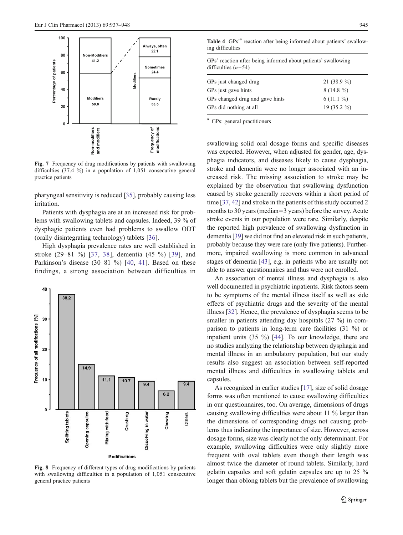<span id="page-8-0"></span>

Fig. 7 Frequency of drug modifications by patients with swallowing difficulties (37.4 %) in a population of 1,051 consecutive general practice patients

pharyngeal sensitivity is reduced [\[35](#page-11-0)], probably causing less irritation.

Patients with dysphagia are at an increased risk for problems with swallowing tablets and capsules. Indeed, 39 % of dysphagic patients even had problems to swallow ODT (orally disintegrating technology) tablets [[36\]](#page-11-0).

High dysphagia prevalence rates are well established in stroke (29–81 %) [\[37,](#page-11-0) [38](#page-11-0)], dementia (45 %) [\[39\]](#page-11-0), and Parkinson's disease (30–81 %) [[40,](#page-11-0) [41\]](#page-11-0). Based on these findings, a strong association between difficulties in



Fig. 8 Frequency of different types of drug modifications by patients with swallowing difficulties in a population of 1,051 consecutive general practice patients

Table 4 GPs'<sup>a</sup> reaction after being informed about patients' swallowing difficulties

| GPs' reaction after being informed about patients' swallowing<br>difficulties $(n=54)$ |              |
|----------------------------------------------------------------------------------------|--------------|
| GPs just changed drug                                                                  | $21(38.9\%)$ |
| GPs just gave hints                                                                    | $8(14.8\%)$  |

GPs changed drug and gave hints  $6(11.1\%)$ GPs did nothing at all  $19$  (35.2 %)

GPs: general practitioners

swallowing solid oral dosage forms and specific diseases was expected. However, when adjusted for gender, age, dysphagia indicators, and diseases likely to cause dysphagia, stroke and dementia were no longer associated with an increased risk. The missing association to stroke may be explained by the observation that swallowing dysfunction caused by stroke generally recovers within a short period of time [\[37](#page-11-0), [42](#page-11-0)] and stroke in the patients of this study occurred 2 months to 30 years (median= $3$  years) before the survey. Acute stroke events in our population were rare. Similarly, despite the reported high prevalence of swallowing dysfunction in dementia [[39](#page-11-0)] we did not find an elevated risk in such patients, probably because they were rare (only five patients). Furthermore, impaired swallowing is more common in advanced stages of dementia [\[43\]](#page-11-0), e.g. in patients who are usually not able to answer questionnaires and thus were not enrolled.

An association of mental illness and dysphagia is also well documented in psychiatric inpatients. Risk factors seem to be symptoms of the mental illness itself as well as side effects of psychiatric drugs and the severity of the mental illness [[32\]](#page-11-0). Hence, the prevalence of dysphagia seems to be smaller in patients attending day hospitals (27 %) in comparison to patients in long-term care facilities (31 %) or inpatient units (35 %) [\[44](#page-11-0)]. To our knowledge, there are no studies analyzing the relationship between dysphagia and mental illness in an ambulatory population, but our study results also suggest an association between self-reported mental illness and difficulties in swallowing tablets and capsules.

As recognized in earlier studies [\[17](#page-10-0)], size of solid dosage forms was often mentioned to cause swallowing difficulties in our questionnaires, too. On average, dimensions of drugs causing swallowing difficulties were about 11 % larger than the dimensions of corresponding drugs not causing problems thus indicating the importance of size. However, across dosage forms, size was clearly not the only determinant. For example, swallowing difficulties were only slightly more frequent with oval tablets even though their length was almost twice the diameter of round tablets. Similarly, hard gelatin capsules and soft gelatin capsules are up to 25 % longer than oblong tablets but the prevalence of swallowing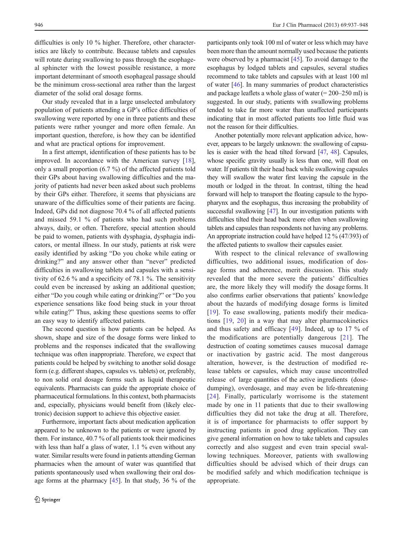difficulties is only 10 % higher. Therefore, other characteristics are likely to contribute. Because tablets and capsules will rotate during swallowing to pass through the esophageal sphincter with the lowest possible resistance, a more important determinant of smooth esophageal passage should be the minimum cross-sectional area rather than the largest diameter of the solid oral dosage forms.

Our study revealed that in a large unselected ambulatory population of patients attending a GP's office difficulties of swallowing were reported by one in three patients and these patients were rather younger and more often female. An important question, therefore, is how they can be identified and what are practical options for improvement.

In a first attempt, identification of these patients has to be improved. In accordance with the American survey [\[18](#page-10-0)], only a small proportion (6.7 %) of the affected patients told their GPs about having swallowing difficulties and the majority of patients had never been asked about such problems by their GPs either. Therefore, it seems that physicians are unaware of the difficulties some of their patients are facing. Indeed, GPs did not diagnose 70.4 % of all affected patients and missed 59.1 % of patients who had such problems always, daily, or often. Therefore, special attention should be paid to women, patients with dysphagia, dysphagia indicators, or mental illness. In our study, patients at risk were easily identified by asking "Do you choke while eating or drinking?" and any answer other than "never" predicted difficulties in swallowing tablets and capsules with a sensitivity of 62.6 % and a specificity of 78.1 %. The sensitivity could even be increased by asking an additional question; either "Do you cough while eating or drinking?" or "Do you experience sensations like food being stuck in your throat while eating?" Thus, asking these questions seems to offer an easy way to identify affected patients.

The second question is how patients can be helped. As shown, shape and size of the dosage forms were linked to problems and the responses indicated that the swallowing technique was often inappropriate. Therefore, we expect that patients could be helped by switching to another solid dosage form (e.g. different shapes, capsules vs. tablets) or, preferably, to non solid oral dosage forms such as liquid therapeutic equivalents. Pharmacists can guide the appropriate choice of pharmaceutical formulations. In this context, both pharmacists and, especially, physicians would benefit from (likely electronic) decision support to achieve this objective easier.

Furthermore, important facts about medication application appeared to be unknown to the patients or were ignored by them. For instance, 40.7 % of all patients took their medicines with less than half a glass of water, 1.1 % even without any water. Similar results were found in patients attending German pharmacies when the amount of water was quantified that patients spontaneously used when swallowing their oral dosage forms at the pharmacy [\[45](#page-11-0)]. In that study, 36 % of the participants only took 100 ml of water or less which may have been more than the amount normally used because the patients were observed by a pharmacist [\[45](#page-11-0)]. To avoid damage to the esophagus by lodged tablets and capsules, several studies recommend to take tablets and capsules with at least 100 ml of water [\[46](#page-11-0)]. In many summaries of product characteristics and package leaflets a whole glass of water  $(= 200 - 250$  ml) is suggested. In our study, patients with swallowing problems tended to take far more water than unaffected participants indicating that in most affected patients too little fluid was not the reason for their difficulties.

Another potentially more relevant application advice, however, appears to be largely unknown: the swallowing of capsules is easier with the head tilted forward [\[47,](#page-11-0) [48](#page-11-0)]. Capsules, whose specific gravity usually is less than one, will float on water. If patients tilt their head back while swallowing capsules they will swallow the water first leaving the capsule in the mouth or lodged in the throat. In contrast, tilting the head forward will help to transport the floating capsule to the hypopharynx and the esophagus, thus increasing the probability of successful swallowing [\[47\]](#page-11-0). In our investigation patients with difficulties tilted their head back more often when swallowing tablets and capsules than respondents not having any problems. An appropriate instruction could have helped 12 % (47/393) of the affected patients to swallow their capsules easier.

With respect to the clinical relevance of swallowing difficulties, two additional issues, modification of dosage forms and adherence, merit discussion. This study revealed that the more severe the patients' difficulties are, the more likely they will modify the dosage forms. It also confirms earlier observations that patients' knowledge about the hazards of modifying dosage forms is limited [\[19\]](#page-10-0). To ease swallowing, patients modify their medications [\[19,](#page-10-0) [20\]](#page-10-0) in a way that may alter pharmacokinetics and thus safety and efficacy [[49\]](#page-11-0). Indeed, up to 17 % of the modifications are potentially dangerous [[21\]](#page-10-0). The destruction of coating sometimes causes mucosal damage or inactivation by gastric acid. The most dangerous alteration, however, is the destruction of modified release tablets or capsules, which may cause uncontrolled release of large quantities of the active ingredients (dosedumping), overdosage, and may even be life-threatening [[24\]](#page-10-0). Finally, particularly worrisome is the statement made by one in 11 patients that due to their swallowing difficulties they did not take the drug at all. Therefore, it is of importance for pharmacists to offer support by instructing patients in good drug application. They can give general information on how to take tablets and capsules correctly and also suggest and even train special swallowing techniques. Moreover, patients with swallowing difficulties should be advised which of their drugs can be modified safely and which modification technique is appropriate.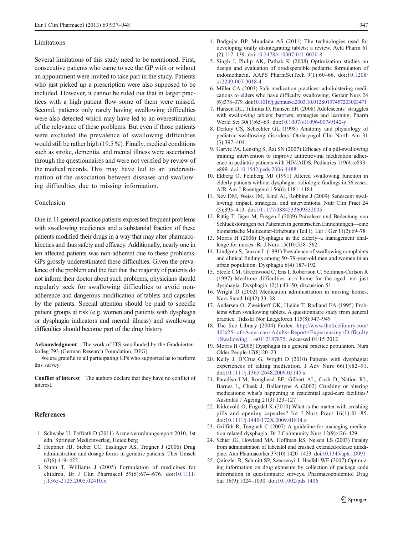## <span id="page-10-0"></span>Limitations

Several limitations of this study need to be mentioned. First, consecutive patients who came to see the GP with or without an appointment were invited to take part in the study. Patients who just picked up a prescription were also supposed to be included. However, it cannot be ruled out that in larger practices with a high patient flow some of them were missed. Second, patients only rarely having swallowing difficulties were also detected which may have led to an overestimation of the relevance of these problems. But even if those patients were excluded the prevalence of swallowing difficulties would still be rather high (19.5 %). Finally, medical conditions such as stroke, dementia, and mental illness were ascertained through the questionnaires and were not verified by review of the medical records. This may have led to an underestimation of the association between diseases and swallowing difficulties due to missing information.

## Conclusion

One in 11 general practice patients expressed frequent problems with swallowing medicines and a substantial fraction of these patients modified their drugs in a way that may alter pharmacokinetics and thus safety and efficacy. Additionally, nearly one in ten affected patients was non-adherent due to these problems. GPs grossly underestimated these difficulties. Given the prevalence of the problem and the fact that the majority of patients do not inform their doctor about such problems, physicians should regularly seek for swallowing difficulties to avoid nonadherence and dangerous modification of tablets and capsules by the patients. Special attention should be paid to specific patient groups at risk (e.g. women and patients with dysphagia or dysphagia indicators and mental illness) and swallowing difficulties should become part of the drug history.

Acknowledgment The work of JTS was funded by the Graduiertenkolleg 793 (German Research Foundation, DFG).

We are grateful to all participating GPs who supported us to perform this survey.

Conflict of interest The authors declare that they have no conflict of interest.

#### References

- 1. Schwabe U, Paffrath D (2011) Arzneiverordnungsreport 2010, 1st edn. Springer Medizinverlag, Heidelberg
- 2. Heppner HJ, Sieber CC, Esslinger AS, Trogner J (2006) Drug administration and dosage forms in geriatric patients. Ther Umsch 63(6):419–422
- 3. Nunn T, Williams J (2005) Formulation of medicines for children. Br J Clin Pharmacol 59(6):674–676. doi:[10.1111/](http://dx.doi.org/10.1111/j.1365-2125.2005.02410.x) [j.1365-2125.2005.02410.x](http://dx.doi.org/10.1111/j.1365-2125.2005.02410.x)
- 4. Badgujar BP, Mundada AS (2011) The technologies used for developing orally disintegrating tablets: a review. Acta Pharm 61 (2):117–139. doi[:10.2478/v10007-011-0020-8](http://dx.doi.org/10.2478/v10007-011-0020-8)
- 5. Singh J, Philip AK, Pathak K (2008) Optimization studies on design and evaluation of orodispersible pediatric formulation of indomethacin. AAPS PharmSciTech 9(1):60–66. doi[:10.1208/](http://dx.doi.org/10.1208/s12249-007-9018-4) [s12249-007-9018-4](http://dx.doi.org/10.1208/s12249-007-9018-4)
- 6. Miller CA (2003) Safe medication practices: administering medications to elders who have difficulty swallowing. Geriatr Nurs 24 (6):378–379. doi[:10.1016/j.gerinurse.2003.10.012S0197457203003471](http://dx.doi.org/10.1016/j.gerinurse.2003.10.012S0197457203003471)
- 7. Hansen DL, Tulinius D, Hansen EH (2008) Adolescents' struggles with swallowing tablets: barriers, strategies and learning. Pharm World Sci 30(1):65–69. doi[:10.1007/s11096-007-9142-y](http://dx.doi.org/10.1007/s11096-007-9142-y)
- 8. Derkay CS, Schechter GL (1998) Anatomy and physiology of pediatric swallowing disorders. Otolaryngol Clin North Am 31 (3):397–404
- 9. Garvie PA, Lensing S, Rai SN (2007) Efficacy of a pill-swallowing training intervention to improve antiretroviral medication adherence in pediatric patients with HIV/AIDS. Pediatrics 119(4):e893– e899. doi[:10.1542/peds.2006-1488](http://dx.doi.org/10.1542/peds.2006-1488)
- 10. Ekberg O, Feinberg MJ (1991) Altered swallowing function in elderly patients without dysphagia: radiologic findings in 56 cases. AJR Am J Roentgenol 156(6):1181–1184
- 11. Ney DM, Weiss JM, Kind AJ, Robbins J (2009) Senescent swallowing: impact, strategies, and interventions. Nutr Clin Pract 24 (3):395–413. doi[:10.1177/0884533609332005](http://dx.doi.org/10.1177/0884533609332005)
- 12. Rittig T, Jäger M, Füsgen I (2009) Prävalenz und Bedeutung von Schluckstörungen bei Patienten in geriatrischen Einrichtungen—eine biometrische Multicenter-Erhebung (Teil I). Eur J Ger 11(2):69–78
- 13. Morris H (2006) Dysphagia in the elderly–a management challenge for nurses. Br J Nurs 15(10):558–562
- 14. Lindgren S, Janzon L (1991) Prevalence of swallowing complaints and clinical findings among 50–79-year-old men and women in an urban population. Dysphagia 6(4):187–192
- 15. Steele CM, Greenwood C, Ens I, Robertson C, Seidman-Carlson R (1997) Mealtime difficulties in a home for the aged: not just dysphagia. Dysphagia 12(1):43–50, discussion 51
- 16. Wright D (2002) Medication administration in nursing homes. Nurs Stand 16(42):33–38
- 17. Andersen O, Zweidorff OK, Hjelde T, Rodland EA (1995) Problems when swallowing tablets. A questionnaire study from general practice. Tidsskr Nor Laegeforen 115(8):947–949
- 18. The free Library (2004) Farlex. [http://www.thefreelibrary.com/](http://www.thefreelibrary.com/40%25+of+American+Adults+Report+Experiencing+Difficulty+Swallowing&-a0112187875) [40%25+of+American+Adults+Report+Experiencing+Difficulty](http://www.thefreelibrary.com/40%25+of+American+Adults+Report+Experiencing+Difficulty+Swallowing&-a0112187875) +Swallowing…[-a0112187875](http://www.thefreelibrary.com/40%25+of+American+Adults+Report+Experiencing+Difficulty+Swallowing&-a0112187875). Accessed 01/15 2012
- 19. Morris H (2005) Dysphagia in a general practice population. Nurs Older People 17(8):20–23
- 20. Kelly J, D'Cruz G, Wright D (2010) Patients with dysphagia: experiences of taking medication. J Adv Nurs 66(1):82–91. doi[:10.1111/j.1365-2648.2009.05145.x](http://dx.doi.org/10.1111/j.1365-2648.2009.05145.x)
- 21. Paradiso LM, Roughead EE, Gilbert AL, Cosh D, Nation RL, Barnes L, Cheek J, Ballantyne A (2002) Crushing or altering medications: what's happening in residential aged-care facilities? Australas J Ageing 21(3):123–127
- 22. Kirkevold O, Engedal K (2010) What is the matter with crushing pills and opening capsules? Int J Nurs Pract 16(1):81–85. doi[:10.1111/j.1440-172X.2009.01814.x](http://dx.doi.org/10.1111/j.1440-172X.2009.01814.x)
- 23. Griffith R, Tengnah C (2007) A guideline for managing medication related dysphagia. Br J Community Nurs 12(9):426–429
- 24. Schier JG, Howland MA, Hoffman RS, Nelson LS (2003) Fatality from administration of labetalol and crushed extended-release nifedipine. Ann Pharmacother 37(10):1420–1423. doi:[10.1345/aph.1D091](http://dx.doi.org/10.1345/aph.1D091)
- 25. Quinzler R, Schmitt SP, Szecsenyi J, Haefeli WE (2007) Optimizing information on drug exposure by collection of package code information in questionnaire surveys. Pharmacoepidemiol Drug Saf 16(9):1024–1030. doi[:10.1002/pds.1406](http://dx.doi.org/10.1002/pds.1406)